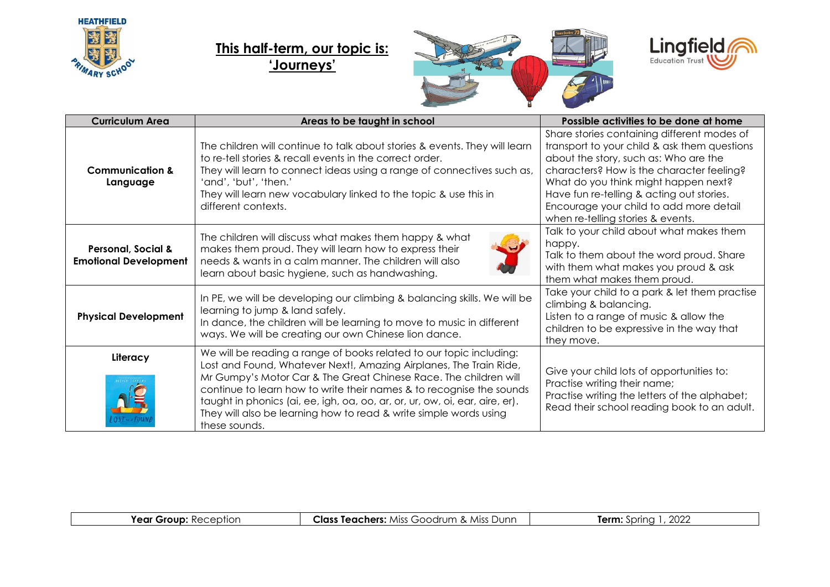

## **This half-term, our topic is: 'Journeys'**





| <b>Curriculum Area</b>                             | Areas to be taught in school                                                                                                                                                                                                                                                                                                                                                                                                                               | Possible activities to be done at home                                                                                                                                                                                                                                                                                                                 |
|----------------------------------------------------|------------------------------------------------------------------------------------------------------------------------------------------------------------------------------------------------------------------------------------------------------------------------------------------------------------------------------------------------------------------------------------------------------------------------------------------------------------|--------------------------------------------------------------------------------------------------------------------------------------------------------------------------------------------------------------------------------------------------------------------------------------------------------------------------------------------------------|
| <b>Communication &amp;</b><br>Language             | The children will continue to talk about stories & events. They will learn<br>to re-tell stories & recall events in the correct order.<br>They will learn to connect ideas using a range of connectives such as,<br>'and', 'but', 'then.'<br>They will learn new vocabulary linked to the topic & use this in<br>different contexts.                                                                                                                       | Share stories containing different modes of<br>transport to your child & ask them questions<br>about the story, such as: Who are the<br>characters? How is the character feeling?<br>What do you think might happen next?<br>Have fun re-telling & acting out stories.<br>Encourage your child to add more detail<br>when re-telling stories & events. |
| Personal, Social &<br><b>Emotional Development</b> | The children will discuss what makes them happy & what<br>makes them proud. They will learn how to express their<br>needs & wants in a calm manner. The children will also<br>learn about basic hygiene, such as handwashing.                                                                                                                                                                                                                              | Talk to your child about what makes them<br>happy.<br>Talk to them about the word proud. Share<br>with them what makes you proud & ask<br>them what makes them proud.                                                                                                                                                                                  |
| <b>Physical Development</b>                        | In PE, we will be developing our climbing & balancing skills. We will be<br>learning to jump & land safely.<br>In dance, the children will be learning to move to music in different<br>ways. We will be creating our own Chinese lion dance.                                                                                                                                                                                                              | Take your child to a park & let them practise<br>climbing & balancing.<br>Listen to a range of music & allow the<br>children to be expressive in the way that<br>they move.                                                                                                                                                                            |
| Literacy                                           | We will be reading a range of books related to our topic including:<br>Lost and Found, Whatever Next!, Amazing Airplanes, The Train Ride,<br>Mr Gumpy's Motor Car & The Great Chinese Race. The children will<br>continue to learn how to write their names & to recognise the sounds<br>taught in phonics (ai, ee, igh, oa, oo, ar, or, ur, ow, oi, ear, aire, er).<br>They will also be learning how to read & write simple words using<br>these sounds. | Give your child lots of opportunities to:<br>Practise writing their name;<br>Practise writing the letters of the alphabet;<br>Read their school reading book to an adult.                                                                                                                                                                              |

| 2022<br><b>Class Teachers:</b> Miss Goodrum & Miss Dunn<br><b>Term:</b> Spring<br>Year Group:<br>: Reception |
|--------------------------------------------------------------------------------------------------------------|
|--------------------------------------------------------------------------------------------------------------|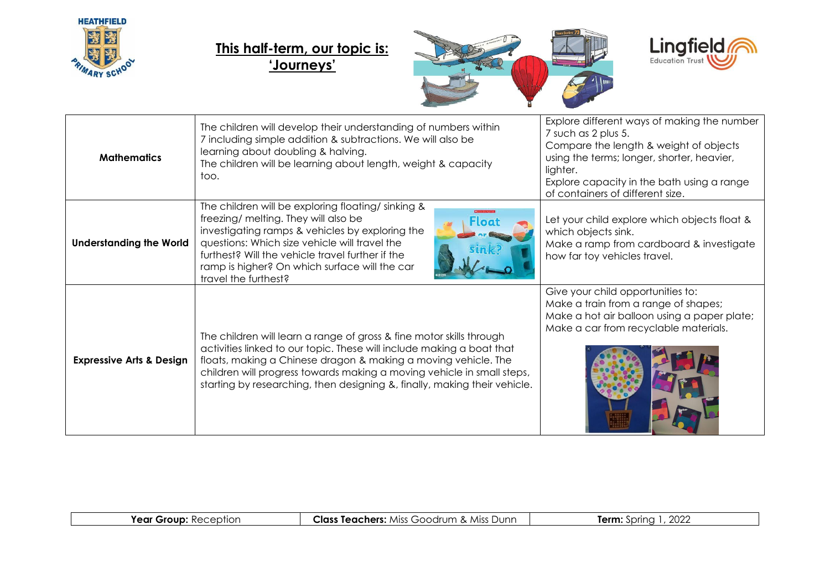

## **This half-term, our topic is: 'Journeys'**





| <b>Mathematics</b>                  | The children will develop their understanding of numbers within<br>7 including simple addition & subtractions. We will also be<br>learning about doubling & halving.<br>The children will be learning about length, weight & capacity<br>too.                                                                                                                          | Explore different ways of making the number<br>7 such as 2 plus 5.<br>Compare the length & weight of objects<br>using the terms; longer, shorter, heavier,<br>lighter.<br>Explore capacity in the bath using a range<br>of containers of different size. |
|-------------------------------------|------------------------------------------------------------------------------------------------------------------------------------------------------------------------------------------------------------------------------------------------------------------------------------------------------------------------------------------------------------------------|----------------------------------------------------------------------------------------------------------------------------------------------------------------------------------------------------------------------------------------------------------|
| <b>Understanding the World</b>      | The children will be exploring floating/sinking &<br>freezing/ melting. They will also be<br><b>Floot</b><br>investigating ramps & vehicles by exploring the<br>questions: Which size vehicle will travel the<br>furthest? Will the vehicle travel further if the<br>ramp is higher? On which surface will the car<br>travel the furthest?                             | Let your child explore which objects float &<br>which objects sink.<br>Make a ramp from cardboard & investigate<br>how far toy vehicles travel.                                                                                                          |
| <b>Expressive Arts &amp; Design</b> | The children will learn a range of gross & fine motor skills through<br>activities linked to our topic. These will include making a boat that<br>floats, making a Chinese dragon & making a moving vehicle. The<br>children will progress towards making a moving vehicle in small steps,<br>starting by researching, then designing &, finally, making their vehicle. | Give your child opportunities to:<br>Make a train from a range of shapes;<br>Make a hot air balloon using a paper plate;<br>Make a car from recyclable materials.                                                                                        |

| Year<br>Grour<br>$\overline{u}$<br>اשווע | Class<br>Dunr<br>drum<br>$\sim$<br>.<br>Tedchers:<br><b>AIL</b><br>$\alpha$<br>71 JI JI | מממ<br>.arm<br>inrina<br>LVL. |
|------------------------------------------|-----------------------------------------------------------------------------------------|-------------------------------|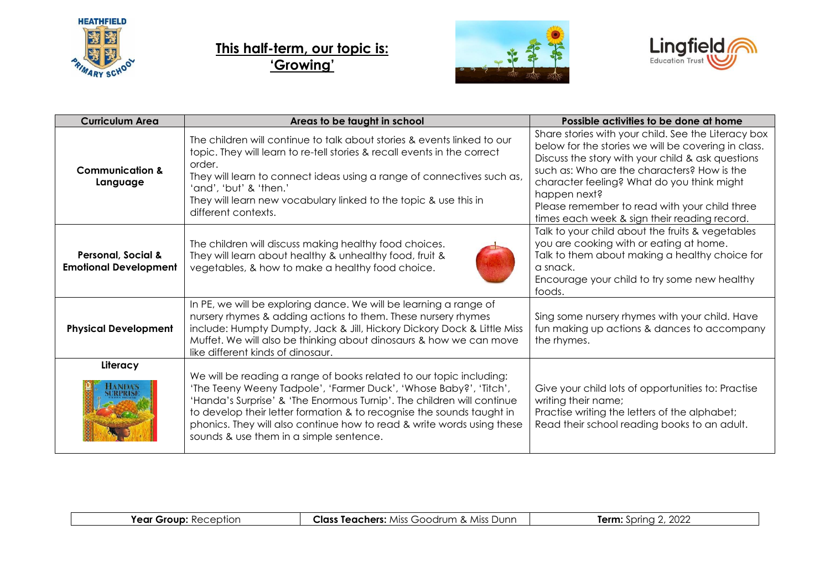

## **This half-term, our topic is: 'Growing'**





| <b>Curriculum Area</b>                                        | Areas to be taught in school                                                                                                                                                                                                                                                                                                                                                                                     | Possible activities to be done at home                                                                                                                                                                                                                                                                                                                                        |
|---------------------------------------------------------------|------------------------------------------------------------------------------------------------------------------------------------------------------------------------------------------------------------------------------------------------------------------------------------------------------------------------------------------------------------------------------------------------------------------|-------------------------------------------------------------------------------------------------------------------------------------------------------------------------------------------------------------------------------------------------------------------------------------------------------------------------------------------------------------------------------|
| <b>Communication &amp;</b><br>Language                        | The children will continue to talk about stories & events linked to our<br>topic. They will learn to re-tell stories & recall events in the correct<br>order.<br>They will learn to connect ideas using a range of connectives such as,<br>'and', 'but' & 'then.'<br>They will learn new vocabulary linked to the topic & use this in<br>different contexts.                                                     | Share stories with your child. See the Literacy box<br>below for the stories we will be covering in class.<br>Discuss the story with your child & ask questions<br>such as: Who are the characters? How is the<br>character feeling? What do you think might<br>happen next?<br>Please remember to read with your child three<br>times each week & sign their reading record. |
| <b>Personal, Social &amp;</b><br><b>Emotional Development</b> | The children will discuss making healthy food choices.<br>They will learn about healthy & unhealthy food, fruit &<br>vegetables, & how to make a healthy food choice.                                                                                                                                                                                                                                            | Talk to your child about the fruits & vegetables<br>you are cooking with or eating at home.<br>Talk to them about making a healthy choice for<br>a snack.<br>Encourage your child to try some new healthy<br>foods.                                                                                                                                                           |
| <b>Physical Development</b>                                   | In PE, we will be exploring dance. We will be learning a range of<br>nursery rhymes & adding actions to them. These nursery rhymes<br>include: Humpty Dumpty, Jack & Jill, Hickory Dickory Dock & Little Miss<br>Muffet. We will also be thinking about dinosaurs & how we can move<br>like different kinds of dinosaur.                                                                                         | Sing some nursery rhymes with your child. Have<br>fun making up actions & dances to accompany<br>the rhymes.                                                                                                                                                                                                                                                                  |
| Literacy                                                      | We will be reading a range of books related to our topic including:<br>'The Teeny Weeny Tadpole', 'Farmer Duck', 'Whose Baby?', 'Titch',<br>'Handa's Surprise' & 'The Enormous Turnip'. The children will continue<br>to develop their letter formation & to recognise the sounds taught in<br>phonics. They will also continue how to read & write words using these<br>sounds & use them in a simple sentence. | Give your child lots of opportunities to: Practise<br>writing their name;<br>Practise writing the letters of the alphabet;<br>Read their school reading books to an adult.                                                                                                                                                                                                    |

| <b>Year Group:</b><br>Reception | Class<br><b>s Teachers:</b> Miss Goodrum.<br>Miss<br>Dunn<br>$\sim$ | . 2022<br>Term:<br>$\sum$ |
|---------------------------------|---------------------------------------------------------------------|---------------------------|